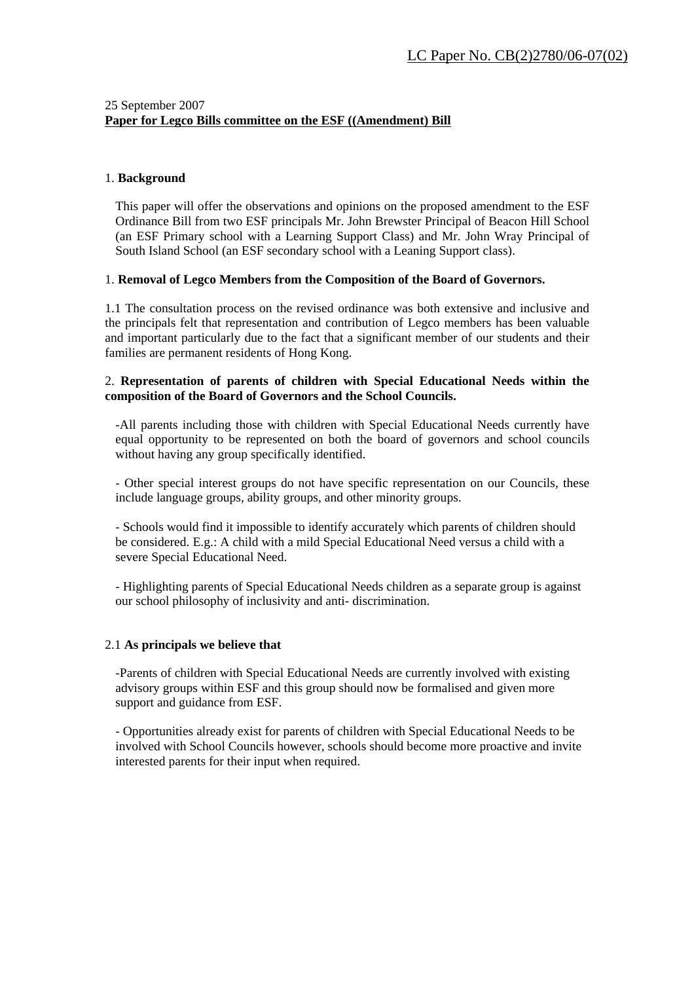# 25 September 2007 **Paper for Legco Bills committee on the ESF ((Amendment) Bill**

#### 1. **Background**

This paper will offer the observations and opinions on the proposed amendment to the ESF Ordinance Bill from two ESF principals Mr. John Brewster Principal of Beacon Hill School (an ESF Primary school with a Learning Support Class) and Mr. John Wray Principal of South Island School (an ESF secondary school with a Leaning Support class).

## 1. **Removal of Legco Members from the Composition of the Board of Governors.**

1.1 The consultation process on the revised ordinance was both extensive and inclusive and the principals felt that representation and contribution of Legco members has been valuable and important particularly due to the fact that a significant member of our students and their families are permanent residents of Hong Kong.

## 2. **Representation of parents of children with Special Educational Needs within the composition of the Board of Governors and the School Councils.**

-All parents including those with children with Special Educational Needs currently have equal opportunity to be represented on both the board of governors and school councils without having any group specifically identified.

- Other special interest groups do not have specific representation on our Councils, these include language groups, ability groups, and other minority groups.

- Schools would find it impossible to identify accurately which parents of children should be considered. E.g.: A child with a mild Special Educational Need versus a child with a severe Special Educational Need.

- Highlighting parents of Special Educational Needs children as a separate group is against our school philosophy of inclusivity and anti- discrimination.

#### 2.1 **As principals we believe that**

-Parents of children with Special Educational Needs are currently involved with existing advisory groups within ESF and this group should now be formalised and given more support and guidance from ESF.

- Opportunities already exist for parents of children with Special Educational Needs to be involved with School Councils however, schools should become more proactive and invite interested parents for their input when required.